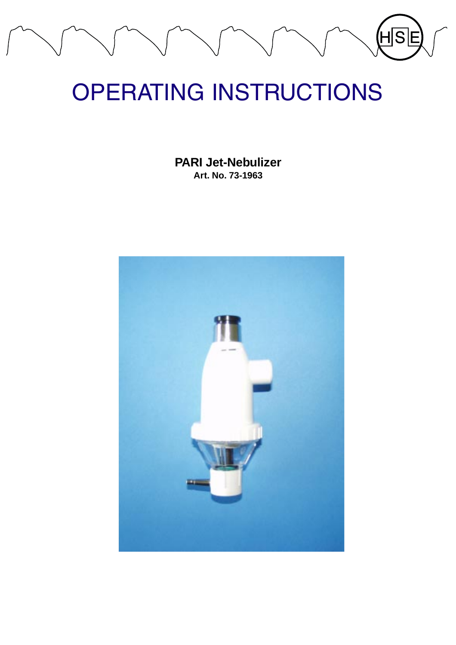# (H $\overline{\mathsf{s}}$

# OPERATING INSTRUCTIONS

**PARI Jet-Nebulizer Art. No. 73-1963**

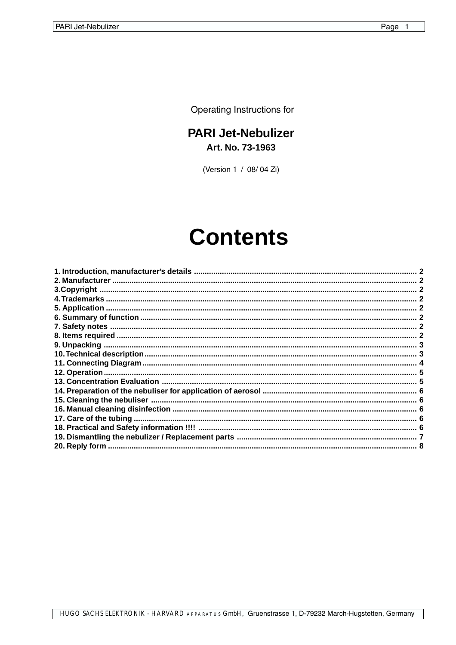Operating Instructions for

# **PARI Jet-Nebulizer** Art. No. 73-1963

(Version 1 / 08/04 Zi)

# **Contents**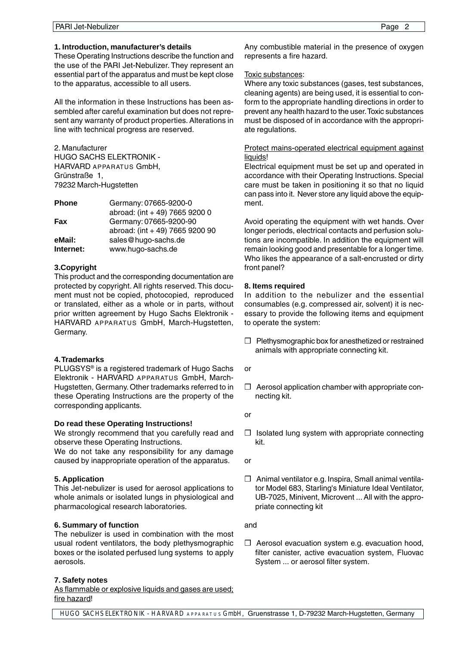# <span id="page-2-0"></span>**1. Introduction, manufacturer's details**

These Operating Instructions describe the function and the use of the PARI Jet-Nebulizer. They represent an essential part of the apparatus and must be kept close to the apparatus, accessible to all users.

All the information in these Instructions has been assembled after careful examination but does not represent any warranty of product properties. Alterations in line with technical progress are reserved.

2. Manufacturer HUGO SACHS ELEKTRONIK - HARVARD APPARATUS GmbH, Grünstraße 1, 79232 March-Hugstetten

| <b>Phone</b> | Germany: 07665-9200-0           |
|--------------|---------------------------------|
|              | abroad: (int + 49) 7665 9200 0  |
| <b>Fax</b>   | Germany: 07665-9200-90          |
|              | abroad: (int + 49) 7665 9200 90 |
| eMail:       | sales@hugo-sachs.de             |
| Internet:    | www.hugo-sachs.de               |

# **3.Copyright**

This product and the corresponding documentation are protected by copyright. All rights reserved. This document must not be copied, photocopied, reproduced or translated, either as a whole or in parts, without prior written agreement by Hugo Sachs Elektronik - HARVARD APPARATUS GmbH, March-Hugstetten, Germany.

# **4. Trademarks**

PLUGSYS® is a registered trademark of Hugo Sachs Elektronik - HARVARD APPARATUS GmbH, March-Hugstetten, Germany. Other trademarks referred to in these Operating Instructions are the property of the corresponding applicants.

# **Do read these Operating Instructions!**

We strongly recommend that you carefully read and observe these Operating Instructions.

We do not take any responsibility for any damage caused by inappropriate operation of the apparatus.

# **5. Application**

This Jet-nebulizer is used for aerosol applications to whole animals or isolated lungs in physiological and pharmacological research laboratories.

# **6. Summary of function**

The nebulizer is used in combination with the most usual rodent ventilators, the body plethysmographic boxes or the isolated perfused lung systems to apply aerosols.

# **7. Safety notes**

As flammable or explosive liquids and gases are used; fire hazard!

Any combustible material in the presence of oxygen represents a fire hazard.

# Toxic substances:

Where any toxic substances (gases, test substances, cleaning agents) are being used, it is essential to conform to the appropriate handling directions in order to prevent any health hazard to the user. Toxic substances must be disposed of in accordance with the appropriate regulations.

# Protect mains-operated electrical equipment against liquids!

Electrical equipment must be set up and operated in accordance with their Operating Instructions. Special care must be taken in positioning it so that no liquid can pass into it. Never store any liquid above the equipment.

Avoid operating the equipment with wet hands. Over longer periods, electrical contacts and perfusion solutions are incompatible. In addition the equipment will remain looking good and presentable for a longer time. Who likes the appearance of a salt-encrusted or dirty front panel?

# **8. Items required**

In addition to the nebulizer and the essential consumables (e.g. compressed air, solvent) it is necessary to provide the following items and equipment to operate the system:

- ❒ Plethysmographic box for anesthetized or restrained animals with appropriate connecting kit.
- or
- ❒ Aerosol application chamber with appropriate connecting kit.
- or
- ❒ Isolated lung system with appropriate connecting kit.

or

❒ Animal ventilator e.g. Inspira, Small animal ventilator Model 683, Starling's Miniature Ideal Ventilator, UB-7025, Minivent, Microvent ... All with the appropriate connecting kit

and

❒ Aerosol evacuation system e.g. evacuation hood, filter canister, active evacuation system, Fluovac System ... or aerosol filter system.

HUGO SACHS ELEKTRONIK - HARVARD APPARATUS GmbH, Gruenstrasse 1, D-79232 March-Hugstetten, Germany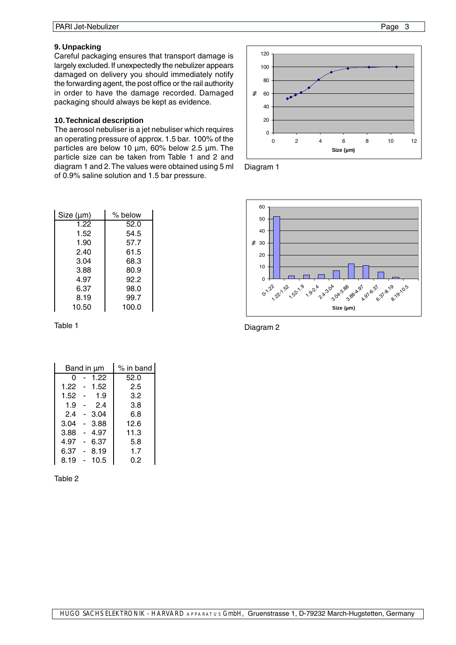## <span id="page-3-0"></span>**9. Unpacking**

Careful packaging ensures that transport damage is largely excluded. If unexpectedly the nebulizer appears damaged on delivery you should immediately notify the forwarding agent, the post office or the rail authority in order to have the damage recorded. Damaged packaging should always be kept as evidence.

#### **10. Technical description**

The aerosol nebuliser is a jet nebuliser which requires an operating pressure of approx. 1.5 bar. 100% of the particles are below 10 um, 60% below 2.5 um. The particle size can be taken from Table 1 and 2 and diagram 1 and 2. The values were obtained using 5 ml of 0.9% saline solution and 1.5 bar pressure.

| Size (µm) | $%$ below |
|-----------|-----------|
| 1.22      | 52.0      |
| 1.52      | 54.5      |
| 1.90      | 57.7      |
| 2.40      | 61.5      |
| 3.04      | 68.3      |
| 3.88      | 80.9      |
| 4.97      | 92.2      |
| 6.37      | 98.0      |
| 8.19      | 99.7      |
| 10.50     | 100.0     |

Table 1

| Band in µm |  |      | $%$ in band |
|------------|--|------|-------------|
| O          |  | 1.22 | 52.0        |
| 1.22       |  | 1.52 | 2.5         |
| 1.52       |  | 1.9  | 3.2         |
| 1.9        |  | 2.4  | 3.8         |
| 2.4        |  | 3.04 | 6.8         |
| 3.04       |  | 3.88 | 12.6        |
| 3.88       |  | 4.97 | 11.3        |
| 4.97       |  | 6.37 | 5.8         |
| 6.37       |  | 8.19 | 1.7         |
| 8.19       |  | 10.5 | 0.2         |

Table 2







Diagram 2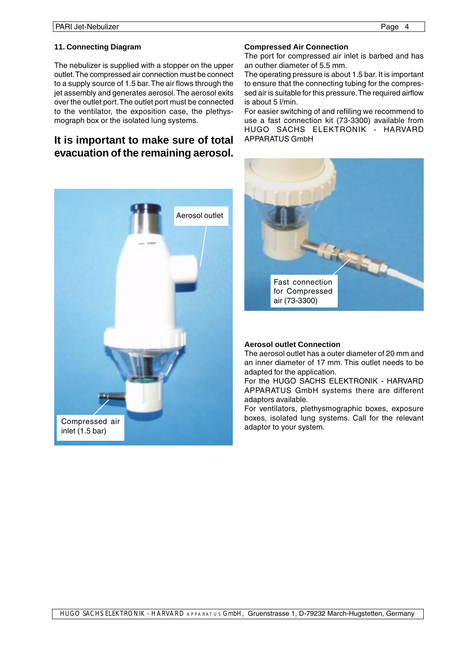# <span id="page-4-0"></span>**11. Connecting Diagram**

The nebulizer is supplied with a stopper on the upper outlet. The compressed air connection must be connect to a supply source of 1.5 bar. The air flows through the jet assembly and generates aerosol. The aerosol exits over the outlet port. The outlet port must be connected to the ventilator, the exposition case, the plethysmograph box or the isolated lung systems.

# **It is important to make sure of total evacuation of the remaining aerosol.**



# **Compressed Air Connection**

The port for compressed air inlet is barbed and has an outher diameter of 5.5 mm.

The operating pressure is about 1.5 bar. It is important to ensure that the connecting tubing for the compressed air is suitable for this pressure. The required airflow is about 5 l/min.

For easier switching of and refilling we recommend to use a fast connection kit (73-3300) available from HUGO SACHS ELEKTRONIK - HARVARD APPARATUS GmbH



# **Aerosol outlet Connection**

The aerosol outlet has a outer diameter of 20 mm and an inner diameter of 17 mm. This outlet needs to be adapted for the application.

For the HUGO SACHS ELEKTRONIK - HARVARD APPARATUS GmbH systems there are different adaptors available.

For ventilators, plethysmographic boxes, exposure boxes, isolated lung systems. Call for the relevant adaptor to your system.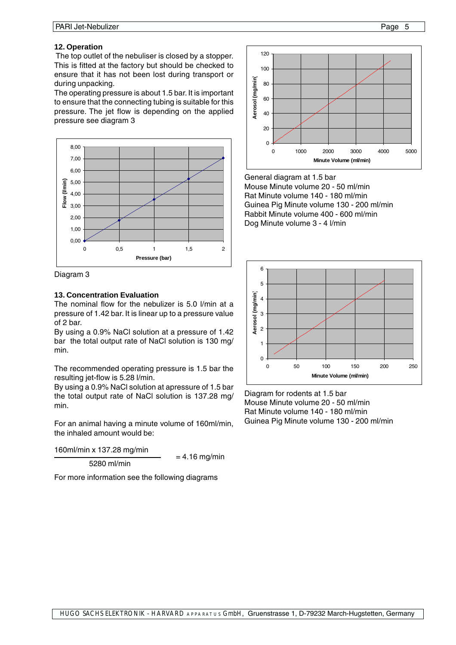# <span id="page-5-0"></span>**12. Operation**

 The top outlet of the nebuliser is closed by a stopper. This is fitted at the factory but should be checked to ensure that it has not been lost during transport or during unpacking.

The operating pressure is about 1.5 bar. It is important to ensure that the connecting tubing is suitable for this pressure. The jet flow is depending on the applied pressure see diagram 3



Diagram 3

#### **13. Concentration Evaluation**

The nominal flow for the nebulizer is 5.0 l/min at a pressure of 1.42 bar. It is linear up to a pressure value of 2 bar.

By using a 0.9% NaCl solution at a pressure of 1.42 bar the total output rate of NaCl solution is 130 mg/ min.

The recommended operating pressure is 1.5 bar the resulting jet-flow is 5.28 l/min.

By using a 0.9% NaCl solution at apressure of 1.5 bar the total output rate of NaCl solution is 137.28 mg/ min.

For an animal having a minute volume of 160ml/min, the inhaled amount would be:

 $\frac{160 \text{ml/min} \times 137.28 \text{ mg/min}}{5280 \text{ ml/min}}$  = 4.16 mg/min

For more information see the following diagrams



General diagram at 1.5 bar Mouse Minute volume 20 - 50 ml/min Rat Minute volume 140 - 180 ml/min Guinea Pig Minute volume 130 - 200 ml/min Rabbit Minute volume 400 - 600 ml/min Dog Minute volume 3 - 4 l/min



Diagram for rodents at 1.5 bar Mouse Minute volume 20 - 50 ml/min Rat Minute volume 140 - 180 ml/min Guinea Pig Minute volume 130 - 200 ml/min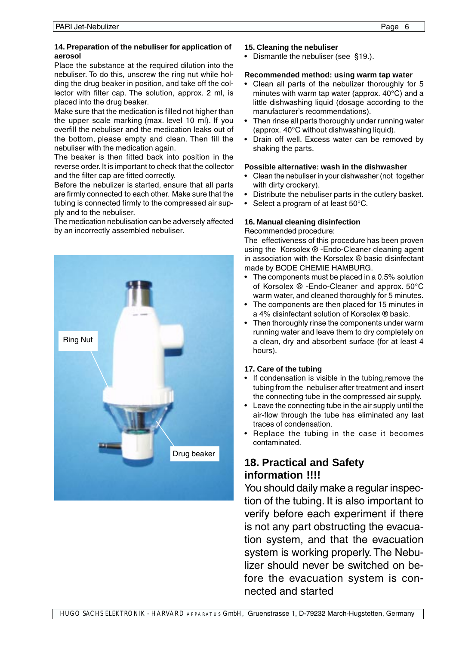# <span id="page-6-0"></span>**14. Preparation of the nebuliser for application of aerosol**

Place the substance at the required dilution into the nebuliser. To do this, unscrew the ring nut while holding the drug beaker in position, and take off the collector with filter cap. The solution, approx. 2 ml, is placed into the drug beaker.

Make sure that the medication is filled not higher than the upper scale marking (max. level 10 ml). If you overfill the nebuliser and the medication leaks out of the bottom, please empty and clean. Then fill the nebuliser with the medication again.

The beaker is then fitted back into position in the reverse order. It is important to check that the collector and the filter cap are fitted correctly.

Before the nebulizer is started, ensure that all parts are firmly connected to each other. Make sure that the tubing is connected firmly to the compressed air supply and to the nebuliser.

The medication nebulisation can be adversely affected by an incorrectly assembled nebuliser.



# **15. Cleaning the nebuliser**

• Dismantle the nebuliser (see §19.).

# **Recommended method: using warm tap water**

- Clean all parts of the nebulizer thoroughly for 5 minutes with warm tap water (approx. 40°C) and a little dishwashing liquid (dosage according to the manufacturer's recommendations).
- Then rinse all parts thoroughly under running water (approx. 40°C without dishwashing liquid).
- Drain off well. Excess water can be removed by shaking the parts.

# **Possible alternative: wash in the dishwasher**

- Clean the nebuliser in your dishwasher (not together with dirty crockery).
- Distribute the nebuliser parts in the cutlery basket.
- Select a program of at least 50°C.

# **16. Manual cleaning disinfection**

Recommended procedure:

The effectiveness of this procedure has been proven using the Korsolex ® -Endo-Cleaner cleaning agent in association with the Korsolex ® basic disinfectant made by BODE CHEMIE HAMBURG.

- The components must be placed in a 0.5% solution of Korsolex ® -Endo-Cleaner and approx. 50°C warm water, and cleaned thoroughly for 5 minutes.
- The components are then placed for 15 minutes in a 4% disinfectant solution of Korsolex ® basic.
- Then thoroughly rinse the components under warm running water and leave them to dry completely on a clean, dry and absorbent surface (for at least 4 hours).

# **17. Care of the tubing**

- If condensation is visible in the tubing, remove the tubing from the nebuliser after treatment and insert the connecting tube in the compressed air supply.
- Leave the connecting tube in the air supply until the air-flow through the tube has eliminated any last traces of condensation.
- Replace the tubing in the case it becomes contaminated.

# **18. Practical and Safety information !!!!**

You should daily make a regular inspection of the tubing. It is also important to verify before each experiment if there is not any part obstructing the evacuation system, and that the evacuation system is working properly. The Nebulizer should never be switched on before the evacuation system is connected and started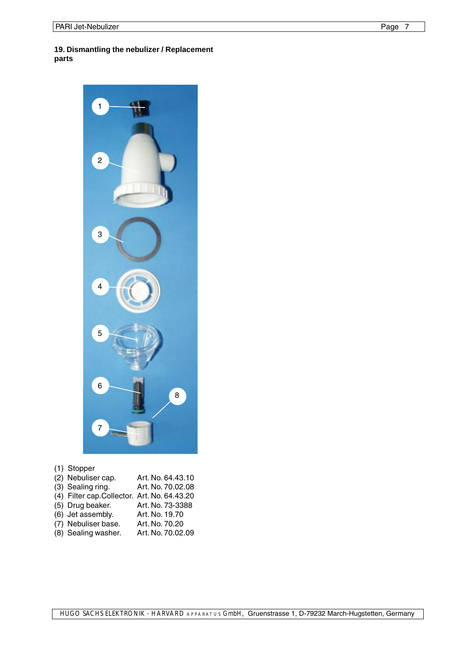# <span id="page-7-0"></span>**19. Dismantling the nebulizer / Replacement parts**



# (1) Stopper

| (2) Nebuliser cap.                          | Art. No. 64.43.10 |
|---------------------------------------------|-------------------|
| (3) Sealing ring.                           | Art. No. 70.02.08 |
| (4) Filter cap.Collector. Art. No. 64.43.20 |                   |
| (5) Drug beaker.                            | Art. No. 73-3388  |
| (6) Jet assembly.                           | Art. No. 19.70    |
| (7) Nebuliser base.                         | Art. No. 70.20    |
| (8) Sealing washer.                         | Art. No. 70.02.09 |